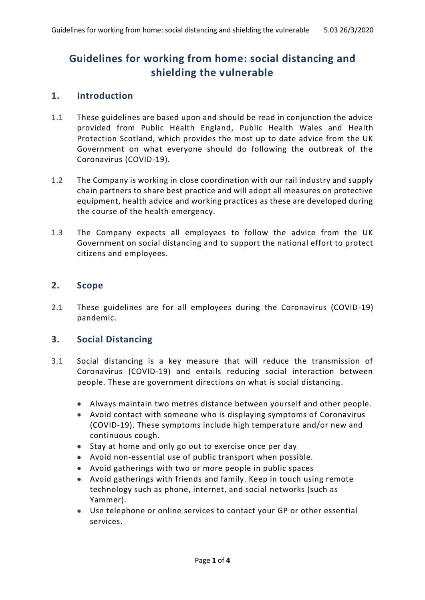# **Guidelines for working from home: social distancing and shielding the vulnerable**

## **1. Introduction**

- 1.1 These guidelines are based upon and should be read in conjunction the advice provided from Public Health England, Public Health Wales and Health Protection Scotland, which provides the most up to date advice from the UK Government on what everyone should do following the outbreak of the Coronavirus (COVID-19).
- 1.2 The Company is working in close coordination with our rail industry and supply chain partners to share best practice and will adopt all measures on protective equipment, health advice and working practices as these are developed during the course of the health emergency.
- 1.3 The Company expects all employees to follow the advice from the UK Government on social distancing and to support the national effort to protect citizens and employees.

## **2. Scope**

2.1 These guidelines are for all employees during the Coronavirus (COVID-19) pandemic.

## **3. Social Distancing**

- 3.1 Social distancing is a key measure that will reduce the transmission of Coronavirus (COVID-19) and entails reducing social interaction between people. These are government directions on what is social distancing.
	- Always maintain two metres distance between yourself and other people.
	- Avoid contact with someone who is displaying symptoms of Coronavirus (COVID-19). These symptoms include high temperature and/or new and continuous cough.
	- Stay at home and only go out to exercise once per day
	- Avoid non-essential use of public transport when possible.
	- Avoid gatherings with two or more people in public spaces
	- Avoid gatherings with friends and family. Keep in touch using remote technology such as phone, internet, and social networks (such as Yammer).
	- Use telephone or online services to contact your GP or other essential services.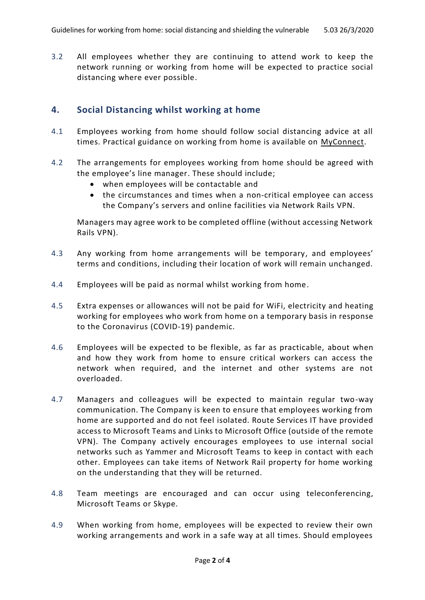3.2 All employees whether they are continuing to attend work to keep the network running or working from home will be expected to practice social distancing where ever possible.

## **4. Social Distancing whilst working at home**

- 4.1 Employees working from home should follow social distancing advice at all times. Practical guidance on working from home is available on [MyConnect.](https://networkrail.sharepoint.com/sites/myconnect/communications/Pages/Coronavirus-Info-Hub.aspx)
- 4.2 The arrangements for employees working from home should be agreed with the employee's line manager. These should include;
	- when employees will be contactable and
	- the circumstances and times when a non-critical employee can access the Company's servers and online facilities via Network Rails VPN.

Managers may agree work to be completed offline (without accessing Network Rails VPN).

- 4.3 Any working from home arrangements will be temporary, and employees' terms and conditions, including their location of work will remain unchanged.
- 4.4 Employees will be paid as normal whilst working from home.
- 4.5 Extra expenses or allowances will not be paid for WiFi, electricity and heating working for employees who work from home on a temporary basis in response to the Coronavirus (COVID-19) pandemic.
- 4.6 Employees will be expected to be flexible, as far as practicable, about when and how they work from home to ensure critical workers can access the network when required, and the internet and other systems are not overloaded.
- 4.7 Managers and colleagues will be expected to maintain regular two-way communication. The Company is keen to ensure that employees working from home are supported and do not feel isolated. Route Services IT have provided access to Microsoft Teams and Links to Microsoft Office (outside of the remote VPN). The Company actively encourages employees to use internal social networks such as Yammer and Microsoft Teams to keep in contact with each other. Employees can take items of Network Rail property for home working on the understanding that they will be returned.
- 4.8 Team meetings are encouraged and can occur using teleconferencing, Microsoft Teams or Skype.
- 4.9 When working from home, employees will be expected to review their own working arrangements and work in a safe way at all times. Should employees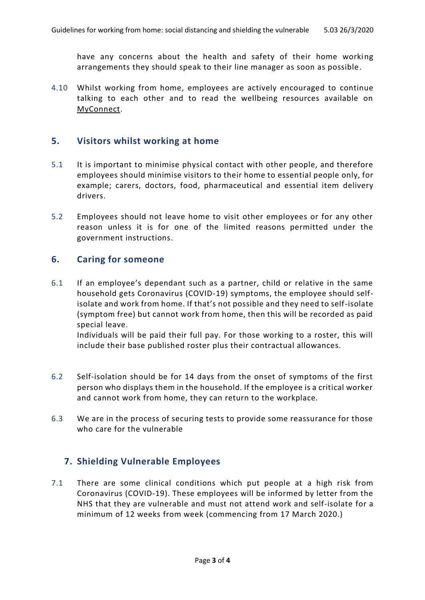have any concerns about the health and safety of their home working arrangements they should speak to their line manager as soon as possible.

4.10 Whilst working from home, employees are actively encouraged to continue talking to each other and to read the wellbeing resources available on [MyConnect.](https://networkrail.sharepoint.com/sites/myconnect/ste/Pages/Supporting-Mental-Wellbeing.aspx)

## **5. Visitors whilst working at home**

- 5.1 It is important to minimise physical contact with other people, and therefore employees should minimise visitors to their home to essential people only, for example; carers, doctors, food, pharmaceutical and essential item delivery drivers.
- 5.2 Employees should not leave home to visit other employees or for any other reason unless it is for one of the limited reasons permitted under the government instructions.

#### **6. Caring for someone**

6.1 If an employee's dependant such as a partner, child or relative in the same household gets Coronavirus (COVID-19) symptoms, the employee should selfisolate and work from home. If that's not possible and they need to self-isolate (symptom free) but cannot work from home, then this will be recorded as paid special leave.

Individuals will be paid their full pay. For those working to a roster, this will include their base published roster plus their contractual allowances.

- 6.2 Self-isolation should be for 14 days from the onset of symptoms of the first person who displays them in the household. If the employee is a critical worker and cannot work from home, they can return to the workplace.
- 6.3 We are in the process of securing tests to provide some reassurance for those who care for the vulnerable

## **7. Shielding Vulnerable Employees**

7.1 There are some clinical conditions which put people at a high risk from Coronavirus (COVID-19). These employees will be informed by letter from the NHS that they are vulnerable and must not attend work and self-isolate for a minimum of 12 weeks from week (commencing from 17 March 2020.)